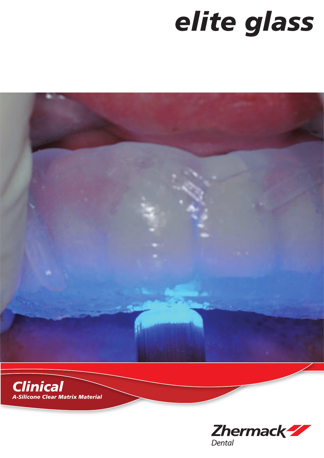## elite glass



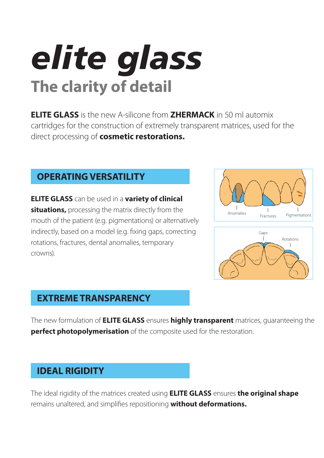## *elite glass* **The clarity of detail**

**ELITE GLASS** is the new A-silicone from **ZHERMACK** in 50 ml automix cartridges for the construction of extremely transparent matrices, used for the direct processing of **cosmetic restorations.**

## **OPERATING VERSATILITY**

**ELITE GLASS** can be used in a **variety of clinical situations,** processing the matrix directly from the mouth of the patient (e.g. pigmentations) or alternatively indirectly, based on a model (e.g. fixing gaps, correcting rotations, fractures, dental anomalies, temporary crowns).





## **EXTREME TRANSPARENCY**

The new formulation of **ELITE GLASS** ensures **highly transparent** matrices, guaranteeing the **perfect photopolymerisation** of the composite used for the restoration.

## **IDEAL RIGIDITY**

The ideal rigidity of the matrices created using **ELITE GLASS** ensures **the original shape** remains unaltered, and simplifies repositioning **without deformations.**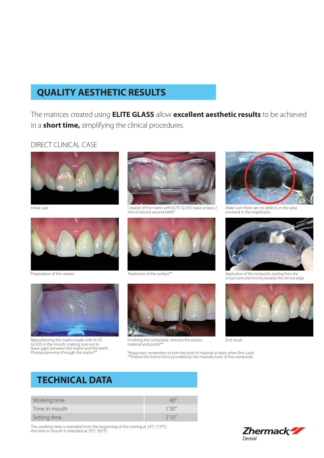## **QUALITY AESTHETIC RESULTS**

The matrices created using **ELITE GLASS** allow **excellent aesthetic results** to be achieved in a **short time,** simplifying the clinical procedures.

#### DIRECT CLINICAL CASE



Initial case



Preparation of the veneer



Repositioning the matrix made with ELITE GLASS in the mouth, making sure not to leave gaps between the matrix and the teeth. Photopolymerise through the matrix\*\*



Creation of the matrix with ELITE GLASS: leave at least 2 mm of silicone around teeth\*



Treatment of the surface\*\*



Finishing the composite: remove the excess material and polish\*\*



Make sure there are no defects in the area involved in the impression



Application of the composite, starting from the incisor zone and moving towards the cervical edge



End result

\*Important: remember to trim the level of material at least when first used \*\*Follow the instructions provided by the manufacturer of the composite

### **TECHNICAL DATA**

| Working time  |        |
|---------------|--------|
| Time in mouth | 1'30'' |
| Setting time  | 2'10'' |

The working time is intended from the beginning of the mixing at 23°C (73°F), the time in mouth is intended at 35°C (95°F)